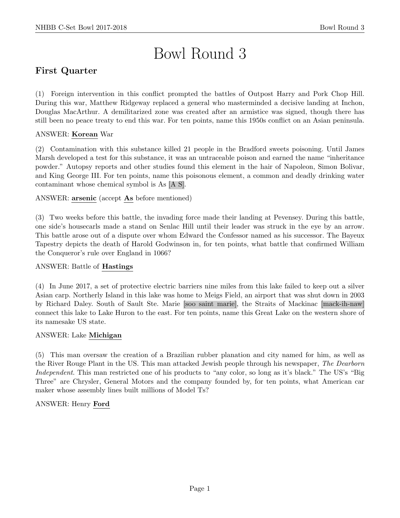# Bowl Round 3

# First Quarter

(1) Foreign intervention in this conflict prompted the battles of Outpost Harry and Pork Chop Hill. During this war, Matthew Ridgeway replaced a general who masterminded a decisive landing at Inchon, Douglas MacArthur. A demilitarized zone was created after an armistice was signed, though there has still been no peace treaty to end this war. For ten points, name this 1950s conflict on an Asian peninsula.

# ANSWER: Korean War

(2) Contamination with this substance killed 21 people in the Bradford sweets poisoning. Until James Marsh developed a test for this substance, it was an untraceable poison and earned the name "inheritance powder." Autopsy reports and other studies found this element in the hair of Napoleon, Simon Bolivar, and King George III. For ten points, name this poisonous element, a common and deadly drinking water contaminant whose chemical symbol is As [A S].

ANSWER: arsenic (accept As before mentioned)

(3) Two weeks before this battle, the invading force made their landing at Pevensey. During this battle, one side's housecarls made a stand on Senlac Hill until their leader was struck in the eye by an arrow. This battle arose out of a dispute over whom Edward the Confessor named as his successor. The Bayeux Tapestry depicts the death of Harold Godwinson in, for ten points, what battle that confirmed William the Conqueror's rule over England in 1066?

# ANSWER: Battle of Hastings

(4) In June 2017, a set of protective electric barriers nine miles from this lake failed to keep out a silver Asian carp. Northerly Island in this lake was home to Meigs Field, an airport that was shut down in 2003 by Richard Daley. South of Sault Ste. Marie [soo saint marie], the Straits of Mackinac [mack-ih-naw] connect this lake to Lake Huron to the east. For ten points, name this Great Lake on the western shore of its namesake US state.

# ANSWER: Lake Michigan

(5) This man oversaw the creation of a Brazilian rubber planation and city named for him, as well as the River Rouge Plant in the US. This man attacked Jewish people through his newspaper, The Dearborn Independent. This man restricted one of his products to "any color, so long as it's black." The US's "Big Three" are Chrysler, General Motors and the company founded by, for ten points, what American car maker whose assembly lines built millions of Model Ts?

# ANSWER: Henry Ford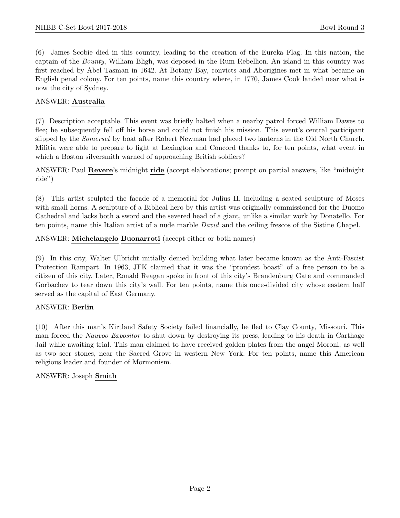(6) James Scobie died in this country, leading to the creation of the Eureka Flag. In this nation, the captain of the Bounty, William Bligh, was deposed in the Rum Rebellion. An island in this country was first reached by Abel Tasman in 1642. At Botany Bay, convicts and Aborigines met in what became an English penal colony. For ten points, name this country where, in 1770, James Cook landed near what is now the city of Sydney.

#### ANSWER: Australia

(7) Description acceptable. This event was briefly halted when a nearby patrol forced William Dawes to flee; he subsequently fell off his horse and could not finish his mission. This event's central participant slipped by the *Somerset* by boat after Robert Newman had placed two lanterns in the Old North Church. Militia were able to prepare to fight at Lexington and Concord thanks to, for ten points, what event in which a Boston silversmith warned of approaching British soldiers?

ANSWER: Paul Revere's midnight ride (accept elaborations; prompt on partial answers, like "midnight ride")

(8) This artist sculpted the facade of a memorial for Julius II, including a seated sculpture of Moses with small horns. A sculpture of a Biblical hero by this artist was originally commissioned for the Duomo Cathedral and lacks both a sword and the severed head of a giant, unlike a similar work by Donatello. For ten points, name this Italian artist of a nude marble David and the ceiling frescos of the Sistine Chapel.

ANSWER: Michelangelo Buonarroti (accept either or both names)

(9) In this city, Walter Ulbricht initially denied building what later became known as the Anti-Fascist Protection Rampart. In 1963, JFK claimed that it was the "proudest boast" of a free person to be a citizen of this city. Later, Ronald Reagan spoke in front of this city's Brandenburg Gate and commanded Gorbachev to tear down this city's wall. For ten points, name this once-divided city whose eastern half served as the capital of East Germany.

# ANSWER: Berlin

(10) After this man's Kirtland Safety Society failed financially, he fled to Clay County, Missouri. This man forced the Nauvoo Expositor to shut down by destroying its press, leading to his death in Carthage Jail while awaiting trial. This man claimed to have received golden plates from the angel Moroni, as well as two seer stones, near the Sacred Grove in western New York. For ten points, name this American religious leader and founder of Mormonism.

ANSWER: Joseph Smith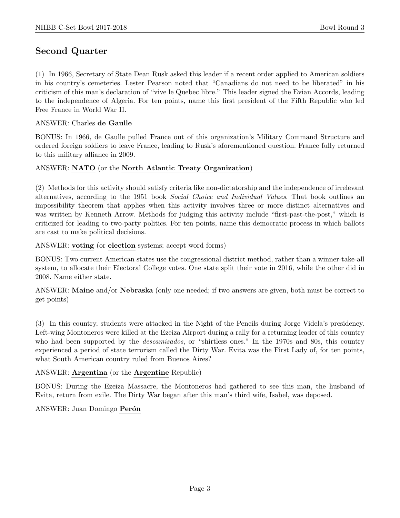# Second Quarter

(1) In 1966, Secretary of State Dean Rusk asked this leader if a recent order applied to American soldiers in his country's cemeteries. Lester Pearson noted that "Canadians do not need to be liberated" in his criticism of this man's declaration of "vive le Quebec libre." This leader signed the Evian Accords, leading to the independence of Algeria. For ten points, name this first president of the Fifth Republic who led Free France in World War II.

#### ANSWER: Charles de Gaulle

BONUS: In 1966, de Gaulle pulled France out of this organization's Military Command Structure and ordered foreign soldiers to leave France, leading to Rusk's aforementioned question. France fully returned to this military alliance in 2009.

#### ANSWER: NATO (or the North Atlantic Treaty Organization)

(2) Methods for this activity should satisfy criteria like non-dictatorship and the independence of irrelevant alternatives, according to the 1951 book Social Choice and Individual Values. That book outlines an impossibility theorem that applies when this activity involves three or more distinct alternatives and was written by Kenneth Arrow. Methods for judging this activity include "first-past-the-post," which is criticized for leading to two-party politics. For ten points, name this democratic process in which ballots are cast to make political decisions.

#### ANSWER: voting (or election systems; accept word forms)

BONUS: Two current American states use the congressional district method, rather than a winner-take-all system, to allocate their Electoral College votes. One state split their vote in 2016, while the other did in 2008. Name either state.

ANSWER: Maine and/or Nebraska (only one needed; if two answers are given, both must be correct to get points)

(3) In this country, students were attacked in the Night of the Pencils during Jorge Videla's presidency. Left-wing Montoneros were killed at the Ezeiza Airport during a rally for a returning leader of this country who had been supported by the *descamisados*, or "shirtless ones." In the 1970s and 80s, this country experienced a period of state terrorism called the Dirty War. Evita was the First Lady of, for ten points, what South American country ruled from Buenos Aires?

# ANSWER: Argentina (or the Argentine Republic)

BONUS: During the Ezeiza Massacre, the Montoneros had gathered to see this man, the husband of Evita, return from exile. The Dirty War began after this man's third wife, Isabel, was deposed.

# ANSWER: Juan Domingo Perón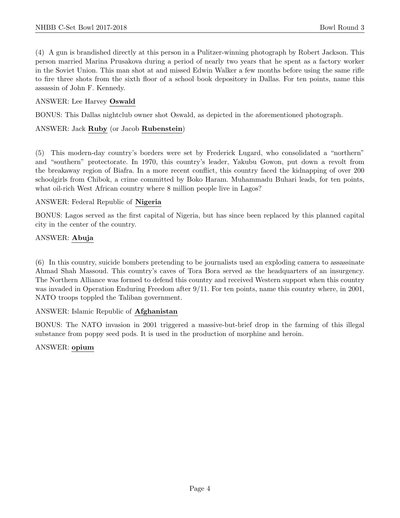(4) A gun is brandished directly at this person in a Pulitzer-winning photograph by Robert Jackson. This person married Marina Prusakova during a period of nearly two years that he spent as a factory worker in the Soviet Union. This man shot at and missed Edwin Walker a few months before using the same rifle to fire three shots from the sixth floor of a school book depository in Dallas. For ten points, name this assassin of John F. Kennedy.

# ANSWER: Lee Harvey Oswald

BONUS: This Dallas nightclub owner shot Oswald, as depicted in the aforementioned photograph.

# ANSWER: Jack Ruby (or Jacob Rubenstein)

(5) This modern-day country's borders were set by Frederick Lugard, who consolidated a "northern" and "southern" protectorate. In 1970, this country's leader, Yakubu Gowon, put down a revolt from the breakaway region of Biafra. In a more recent conflict, this country faced the kidnapping of over 200 schoolgirls from Chibok, a crime committed by Boko Haram. Muhammadu Buhari leads, for ten points, what oil-rich West African country where 8 million people live in Lagos?

# ANSWER: Federal Republic of Nigeria

BONUS: Lagos served as the first capital of Nigeria, but has since been replaced by this planned capital city in the center of the country.

# ANSWER: Abuja

(6) In this country, suicide bombers pretending to be journalists used an exploding camera to assassinate Ahmad Shah Massoud. This country's caves of Tora Bora served as the headquarters of an insurgency. The Northern Alliance was formed to defend this country and received Western support when this country was invaded in Operation Enduring Freedom after 9/11. For ten points, name this country where, in 2001, NATO troops toppled the Taliban government.

# ANSWER: Islamic Republic of Afghanistan

BONUS: The NATO invasion in 2001 triggered a massive-but-brief drop in the farming of this illegal substance from poppy seed pods. It is used in the production of morphine and heroin.

# ANSWER: opium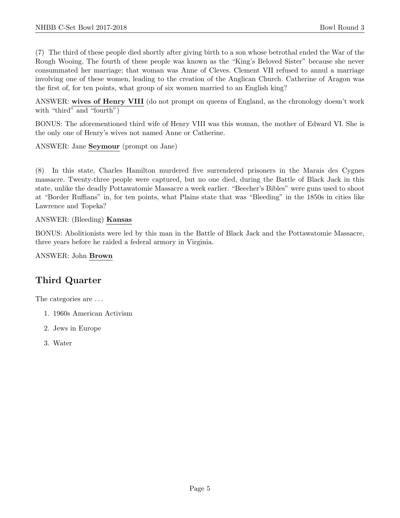(7) The third of these people died shortly after giving birth to a son whose betrothal ended the War of the Rough Wooing. The fourth of these people was known as the "King's Beloved Sister" because she never consummated her marriage; that woman was Anne of Cleves. Clement VII refused to annul a marriage involving one of these women, leading to the creation of the Anglican Church. Catherine of Aragon was the first of, for ten points, what group of six women married to an English king?

ANSWER: wives of Henry VIII (do not prompt on queens of England, as the chronology doesn't work with "third" and "fourth")

BONUS: The aforementioned third wife of Henry VIII was this woman, the mother of Edward VI. She is the only one of Henry's wives not named Anne or Catherine.

ANSWER: Jane Seymour (prompt on Jane)

(8) In this state, Charles Hamilton murdered five surrendered prisoners in the Marais des Cygnes massacre. Twenty-three people were captured, but no one died, during the Battle of Black Jack in this state, unlike the deadly Pottawatomie Massacre a week earlier. "Beecher's Bibles" were guns used to shoot at "Border Ruffians" in, for ten points, what Plains state that was "Bleeding" in the 1850s in cities like Lawrence and Topeka?

#### ANSWER: (Bleeding) Kansas

BONUS: Abolitionists were led by this man in the Battle of Black Jack and the Pottawatomie Massacre, three years before he raided a federal armory in Virginia.

ANSWER: John Brown

# Third Quarter

The categories are . . .

- 1. 1960s American Activism
- 2. Jews in Europe
- 3. Water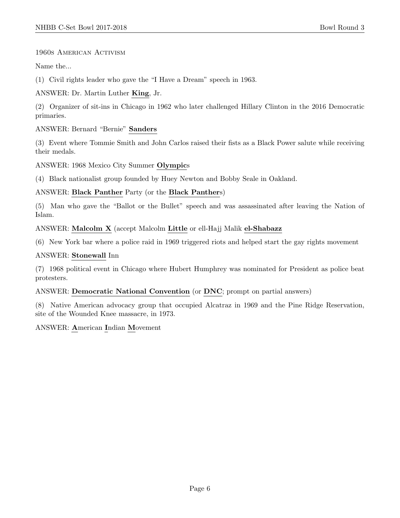# 1960s American Activism

Name the...

(1) Civil rights leader who gave the "I Have a Dream" speech in 1963.

ANSWER: Dr. Martin Luther King, Jr.

(2) Organizer of sit-ins in Chicago in 1962 who later challenged Hillary Clinton in the 2016 Democratic primaries.

ANSWER: Bernard "Bernie" Sanders

(3) Event where Tommie Smith and John Carlos raised their fists as a Black Power salute while receiving their medals.

ANSWER: 1968 Mexico City Summer Olympics

(4) Black nationalist group founded by Huey Newton and Bobby Seale in Oakland.

# ANSWER: Black Panther Party (or the Black Panthers)

(5) Man who gave the "Ballot or the Bullet" speech and was assassinated after leaving the Nation of Islam.

ANSWER: Malcolm X (accept Malcolm Little or ell-Hajj Malik el-Shabazz

(6) New York bar where a police raid in 1969 triggered riots and helped start the gay rights movement

# ANSWER: Stonewall Inn

(7) 1968 political event in Chicago where Hubert Humphrey was nominated for President as police beat protesters.

ANSWER: Democratic National Convention (or DNC; prompt on partial answers)

(8) Native American advocacy group that occupied Alcatraz in 1969 and the Pine Ridge Reservation, site of the Wounded Knee massacre, in 1973.

# ANSWER: American Indian Movement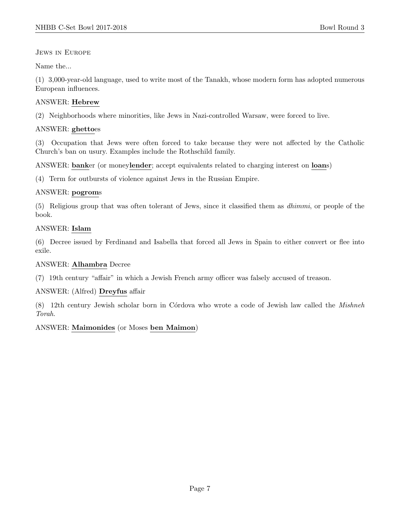Jews in Europe

Name the...

(1) 3,000-year-old language, used to write most of the Tanakh, whose modern form has adopted numerous European influences.

# ANSWER: Hebrew

(2) Neighborhoods where minorities, like Jews in Nazi-controlled Warsaw, were forced to live.

# ANSWER: ghettoes

(3) Occupation that Jews were often forced to take because they were not affected by the Catholic Church's ban on usury. Examples include the Rothschild family.

ANSWER: banker (or moneylender; accept equivalents related to charging interest on loans)

(4) Term for outbursts of violence against Jews in the Russian Empire.

# ANSWER: pogroms

(5) Religious group that was often tolerant of Jews, since it classified them as dhimmi, or people of the book.

# ANSWER: Islam

(6) Decree issued by Ferdinand and Isabella that forced all Jews in Spain to either convert or flee into exile.

# ANSWER: Alhambra Decree

(7) 19th century "affair" in which a Jewish French army officer was falsely accused of treason.

# ANSWER: (Alfred) Dreyfus affair

(8) 12th century Jewish scholar born in Córdova who wrote a code of Jewish law called the Mishneh Torah.

# ANSWER: Maimonides (or Moses ben Maimon)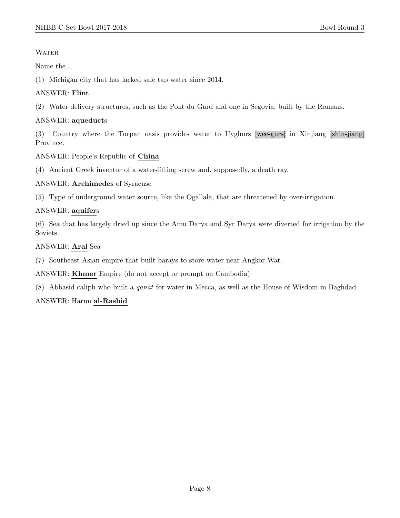# **WATER**

Name the...

(1) Michigan city that has lacked safe tap water since 2014.

# ANSWER: Flint

(2) Water delivery structures, such as the Pont du Gard and one in Segovia, built by the Romans.

# ANSWER: aqueducts

(3) Country where the Turpan oasis provides water to Uyghurs [wee-gurs] in Xinjiang [shin-jiang] Province.

ANSWER: People's Republic of China

(4) Ancient Greek inventor of a water-lifting screw and, supposedly, a death ray.

ANSWER: Archimedes of Syracuse

(5) Type of underground water source, like the Ogallala, that are threatened by over-irrigation.

# ANSWER: aquifers

(6) Sea that has largely dried up since the Amu Darya and Syr Darya were diverted for irrigation by the Soviets.

ANSWER: Aral Sea

(7) Southeast Asian empire that built barays to store water near Angkor Wat.

ANSWER: Khmer Empire (do not accept or prompt on Cambodia)

(8) Abbasid caliph who built a qanat for water in Mecca, as well as the House of Wisdom in Baghdad.

# ANSWER: Harun al-Rashid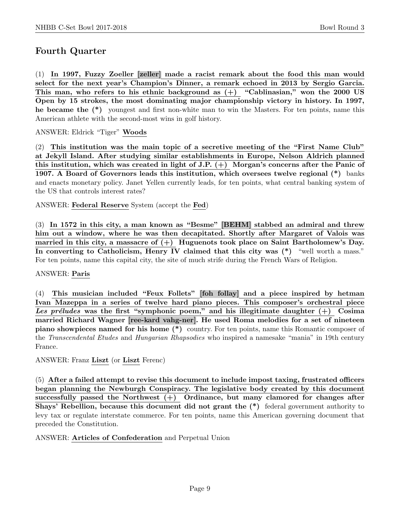# Fourth Quarter

(1) In 1997, Fuzzy Zoeller [zeller] made a racist remark about the food this man would select for the next year's Champion's Dinner, a remark echoed in 2013 by Sergio Garcia. This man, who refers to his ethnic background as  $(+)$  "Cablinasian," won the 2000 US Open by 15 strokes, the most dominating major championship victory in history. In 1997, he became the (\*) youngest and first non-white man to win the Masters. For ten points, name this American athlete with the second-most wins in golf history.

ANSWER: Eldrick "Tiger" Woods

(2) This institution was the main topic of a secretive meeting of the "First Name Club" at Jekyll Island. After studying similar establishments in Europe, Nelson Aldrich planned this institution, which was created in light of J.P. (+) Morgan's concerns after the Panic of 1907. A Board of Governors leads this institution, which oversees twelve regional (\*) banks and enacts monetary policy. Janet Yellen currently leads, for ten points, what central banking system of the US that controls interest rates?

ANSWER: Federal Reserve System (accept the Fed)

(3) In 1572 in this city, a man known as "Besme" [BEHM] stabbed an admiral and threw him out a window, where he was then decapitated. Shortly after Margaret of Valois was married in this city, a massacre of  $(+)$  Huguenots took place on Saint Bartholomew's Day. In converting to Catholicism, Henry IV claimed that this city was (\*) "well worth a mass." For ten points, name this capital city, the site of much strife during the French Wars of Religion.

#### ANSWER: Paris

(4) This musician included "Feux Follets" [foh follay] and a piece inspired by hetman Ivan Mazeppa in a series of twelve hard piano pieces. This composer's orchestral piece Les préludes was the first "symphonic poem," and his illegitimate daughter  $(+)$  Cosima married Richard Wagner [ree-kard vahg-ner]. He used Roma melodies for a set of nineteen piano showpieces named for his home (\*) country. For ten points, name this Romantic composer of the Transcendental Etudes and Hungarian Rhapsodies who inspired a namesake "mania" in 19th century France.

ANSWER: Franz Liszt (or Liszt Ferenc)

(5) After a failed attempt to revise this document to include impost taxing, frustrated officers began planning the Newburgh Conspiracy. The legislative body created by this document successfully passed the Northwest (+) Ordinance, but many clamored for changes after Shays' Rebellion, because this document did not grant the (\*) federal government authority to levy tax or regulate interstate commerce. For ten points, name this American governing document that preceded the Constitution.

#### ANSWER: Articles of Confederation and Perpetual Union